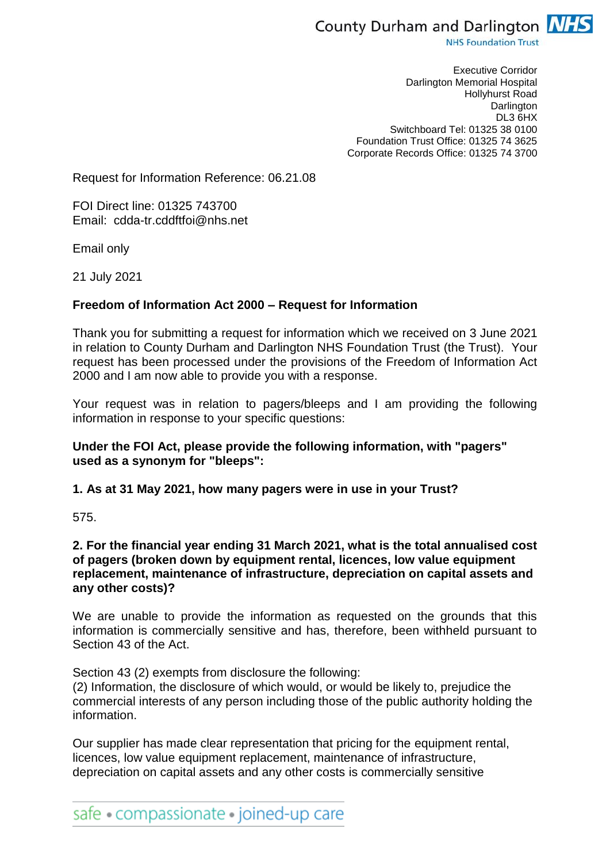

**NHS Foundation Trust** 

Executive Corridor Darlington Memorial Hospital Hollyhurst Road **Darlington** DL3 6HX Switchboard Tel: 01325 38 0100 Foundation Trust Office: 01325 74 3625 Corporate Records Office: 01325 74 3700

Request for Information Reference: 06.21.08

FOI Direct line: 01325 743700 Email: cdda-tr.cddftfoi@nhs.net

Email only

21 July 2021

## **Freedom of Information Act 2000 – Request for Information**

Thank you for submitting a request for information which we received on 3 June 2021 in relation to County Durham and Darlington NHS Foundation Trust (the Trust). Your request has been processed under the provisions of the Freedom of Information Act 2000 and I am now able to provide you with a response.

Your request was in relation to pagers/bleeps and I am providing the following information in response to your specific questions:

## **Under the FOI Act, please provide the following information, with "pagers" used as a synonym for "bleeps":**

## **1. As at 31 May 2021, how many pagers were in use in your Trust?**

575.

### **2. For the financial year ending 31 March 2021, what is the total annualised cost of pagers (broken down by equipment rental, licences, low value equipment replacement, maintenance of infrastructure, depreciation on capital assets and any other costs)?**

We are unable to provide the information as requested on the grounds that this information is commercially sensitive and has, therefore, been withheld pursuant to Section 43 of the Act.

Section 43 (2) exempts from disclosure the following:

(2) Information, the disclosure of which would, or would be likely to, prejudice the commercial interests of any person including those of the public authority holding the information.

Our supplier has made clear representation that pricing for the equipment rental, licences, low value equipment replacement, maintenance of infrastructure, depreciation on capital assets and any other costs is commercially sensitive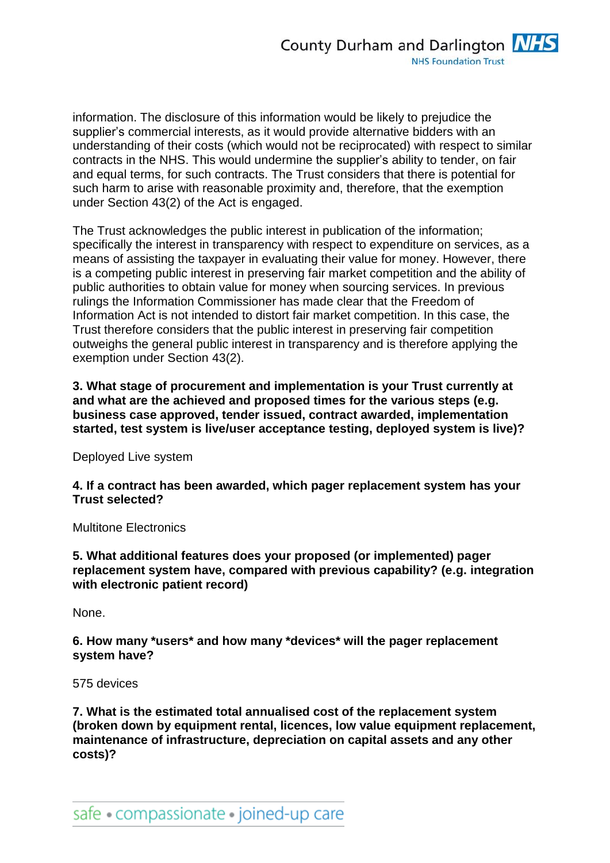information. The disclosure of this information would be likely to prejudice the supplier's commercial interests, as it would provide alternative bidders with an understanding of their costs (which would not be reciprocated) with respect to similar contracts in the NHS. This would undermine the supplier's ability to tender, on fair and equal terms, for such contracts. The Trust considers that there is potential for such harm to arise with reasonable proximity and, therefore, that the exemption under Section 43(2) of the Act is engaged.

The Trust acknowledges the public interest in publication of the information; specifically the interest in transparency with respect to expenditure on services, as a means of assisting the taxpayer in evaluating their value for money. However, there is a competing public interest in preserving fair market competition and the ability of public authorities to obtain value for money when sourcing services. In previous rulings the Information Commissioner has made clear that the Freedom of Information Act is not intended to distort fair market competition. In this case, the Trust therefore considers that the public interest in preserving fair competition outweighs the general public interest in transparency and is therefore applying the exemption under Section 43(2).

**3. What stage of procurement and implementation is your Trust currently at and what are the achieved and proposed times for the various steps (e.g. business case approved, tender issued, contract awarded, implementation started, test system is live/user acceptance testing, deployed system is live)?**

Deployed Live system

**4. If a contract has been awarded, which pager replacement system has your Trust selected?**

Multitone Electronics

**5. What additional features does your proposed (or implemented) pager replacement system have, compared with previous capability? (e.g. integration with electronic patient record)**

None.

### **6. How many \*users\* and how many \*devices\* will the pager replacement system have?**

#### 575 devices

**7. What is the estimated total annualised cost of the replacement system (broken down by equipment rental, licences, low value equipment replacement, maintenance of infrastructure, depreciation on capital assets and any other costs)?**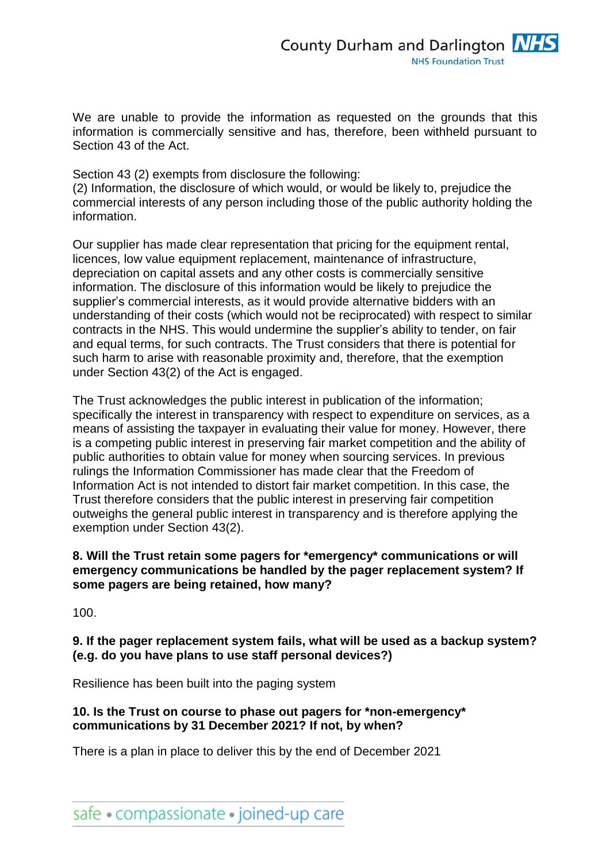We are unable to provide the information as requested on the grounds that this information is commercially sensitive and has, therefore, been withheld pursuant to Section 43 of the Act.

Section 43 (2) exempts from disclosure the following:

(2) Information, the disclosure of which would, or would be likely to, prejudice the commercial interests of any person including those of the public authority holding the information.

Our supplier has made clear representation that pricing for the equipment rental, licences, low value equipment replacement, maintenance of infrastructure, depreciation on capital assets and any other costs is commercially sensitive information. The disclosure of this information would be likely to prejudice the supplier's commercial interests, as it would provide alternative bidders with an understanding of their costs (which would not be reciprocated) with respect to similar contracts in the NHS. This would undermine the supplier's ability to tender, on fair and equal terms, for such contracts. The Trust considers that there is potential for such harm to arise with reasonable proximity and, therefore, that the exemption under Section 43(2) of the Act is engaged.

The Trust acknowledges the public interest in publication of the information; specifically the interest in transparency with respect to expenditure on services, as a means of assisting the taxpayer in evaluating their value for money. However, there is a competing public interest in preserving fair market competition and the ability of public authorities to obtain value for money when sourcing services. In previous rulings the Information Commissioner has made clear that the Freedom of Information Act is not intended to distort fair market competition. In this case, the Trust therefore considers that the public interest in preserving fair competition outweighs the general public interest in transparency and is therefore applying the exemption under Section 43(2).

## **8. Will the Trust retain some pagers for \*emergency\* communications or will emergency communications be handled by the pager replacement system? If some pagers are being retained, how many?**

100.

# **9. If the pager replacement system fails, what will be used as a backup system? (e.g. do you have plans to use staff personal devices?)**

Resilience has been built into the paging system

## **10. Is the Trust on course to phase out pagers for \*non-emergency\* communications by 31 December 2021? If not, by when?**

There is a plan in place to deliver this by the end of December 2021